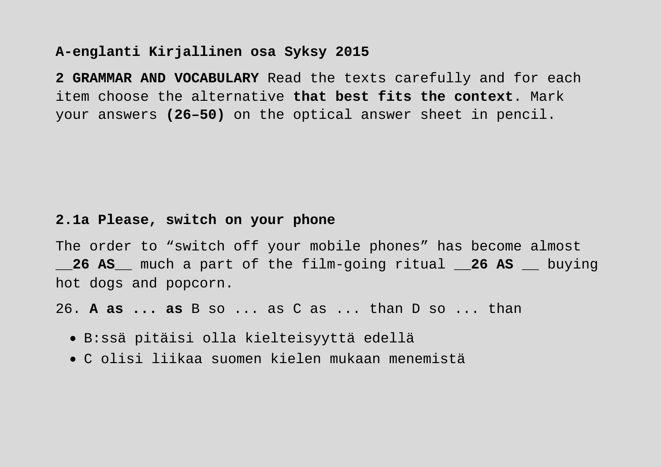## **A-englanti Kirjallinen osa Syksy 2015**

**2 GRAMMAR AND VOCABULARY** Read the texts carefully and for each item choose the alternative **that best fits the context**. Mark your answers **(26–50)** on the optical answer sheet in pencil.

## **2.1a Please, switch on your phone**

The order to "switch off your mobile phones" has become almost \_\_**26 AS**\_\_ much a part of the film-going ritual \_\_**26 AS** \_\_ buying hot dogs and popcorn.

26. **A as ... as** B so ... as C as ... than D so ... than

- B:ssä pitäisi olla kielteisyyttä edellä
- C olisi liikaa suomen kielen mukaan menemistä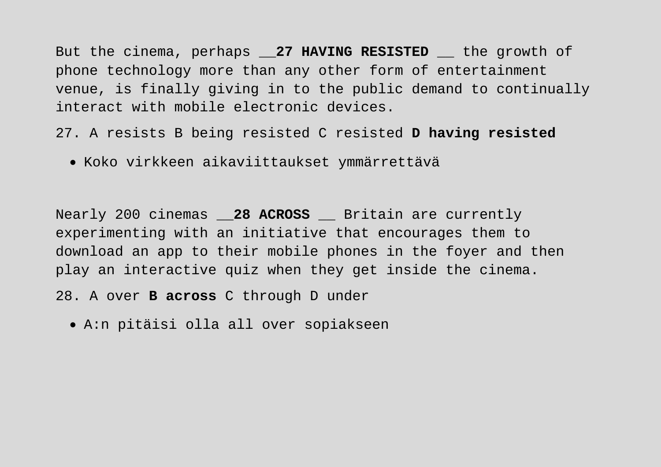But the cinema, perhaps **27 HAVING RESISTED** the growth of phone technology more than any other form of entertainment venue, is finally giving in to the public demand to continually interact with mobile electronic devices.

27. A resists B being resisted C resisted **D having resisted** 

• Koko virkkeen aikaviittaukset ymmärrettävä

Nearly 200 cinemas \_\_**28 ACROSS** \_\_ Britain are currently experimenting with an initiative that encourages them to download an app to their mobile phones in the foyer and then play an interactive quiz when they get inside the cinema.

- 28. A over **B across** C through D under
	- A:n pitäisi olla all over sopiakseen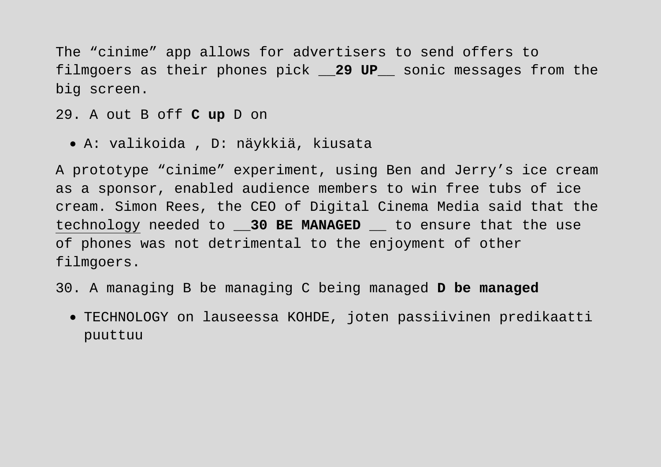The "cinime" app allows for advertisers to send offers to filmgoers as their phones pick \_\_**29 UP**\_\_ sonic messages from the big screen.

29. A out B off **C up** D on

• A: valikoida , D: näykkiä, kiusata

A prototype "cinime" experiment, using Ben and Jerry's ice cream as a sponsor, enabled audience members to win free tubs of ice cream. Simon Rees, the CEO of Digital Cinema Media said that the technology needed to \_\_**30 BE MANAGED** \_\_ to ensure that the use of phones was not detrimental to the enjoyment of other filmgoers.

- 30. A managing B be managing C being managed **D be managed** 
	- TECHNOLOGY on lauseessa KOHDE, joten passiivinen predikaatti puuttuu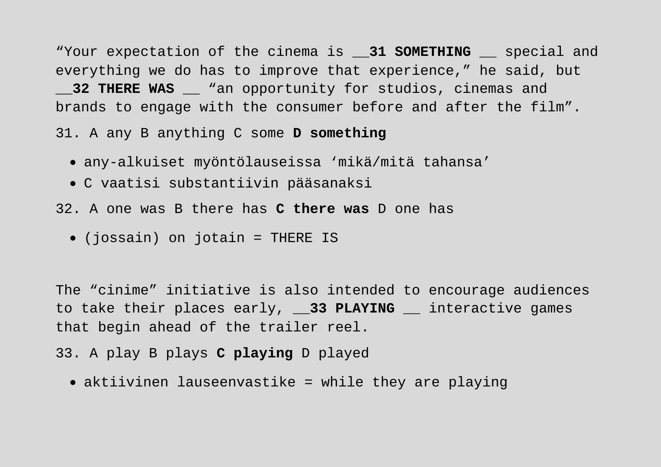"Your expectation of the cinema is \_\_**31 SOMETHING** \_\_ special and everything we do has to improve that experience," he said, but **32 THERE WAS wan opportunity for studios, cinemas and** brands to engage with the consumer before and after the film".

31. A any B anything C some **D something**

- any-alkuiset myöntölauseissa 'mikä/mitä tahansa'
- C vaatisi substantiivin pääsanaksi
- 32. A one was B there has **C there was** D one has
	- (jossain) on jotain = THERE IS

The "cinime" initiative is also intended to encourage audiences to take their places early, **33 PLAYING** interactive games that begin ahead of the trailer reel.

- 33. A play B plays **C playing** D played
	- aktiivinen lauseenvastike = while they are playing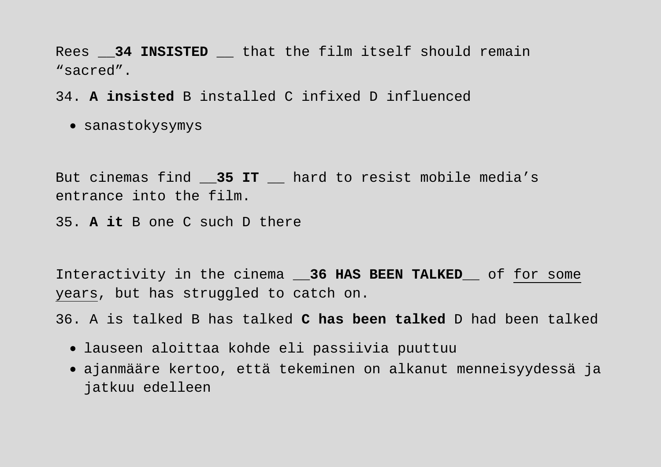Rees 34 INSISTED that the film itself should remain "sacred".

34. **A insisted** B installed C infixed D influenced

• sanastokysymys

But cinemas find \_\_**35 IT** \_\_ hard to resist mobile media's entrance into the film.

35. **A it** B one C such D there

Interactivity in the cinema \_\_**36 HAS BEEN TALKED**\_\_ of for some years, but has struggled to catch on.

36. A is talked B has talked **C has been talked** D had been talked

- lauseen aloittaa kohde eli passiivia puuttuu
- ajanmääre kertoo, että tekeminen on alkanut menneisyydessä ja jatkuu edelleen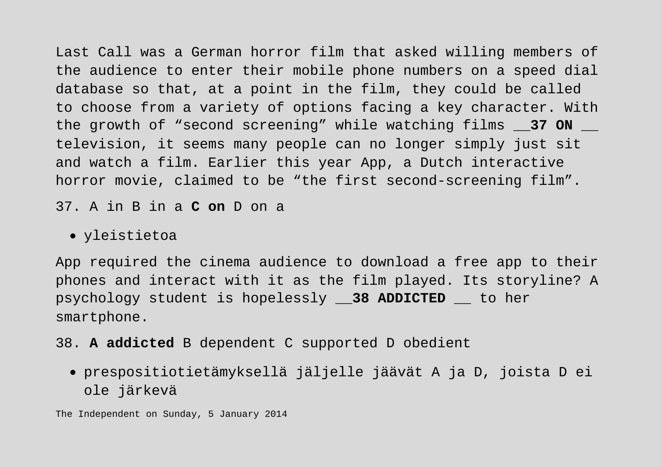Last Call was a German horror film that asked willing members of the audience to enter their mobile phone numbers on a speed dial database so that, at a point in the film, they could be called to choose from a variety of options facing a key character. With the growth of "second screening" while watching films \_\_**37 ON** \_\_ television, it seems many people can no longer simply just sit and watch a film. Earlier this year App, a Dutch interactive horror movie, claimed to be "the first second-screening film".

37. A in B in a **C on** D on a

## • yleistietoa

App required the cinema audience to download a free app to their phones and interact with it as the film played. Its storyline? A psychology student is hopelessly \_\_**38 ADDICTED** \_\_ to her smartphone.

38. **A addicted** B dependent C supported D obedient

• prespositiotietämyksellä jäljelle jäävät A ja D, joista D ei ole järkevä

The Independent on Sunday, 5 January 2014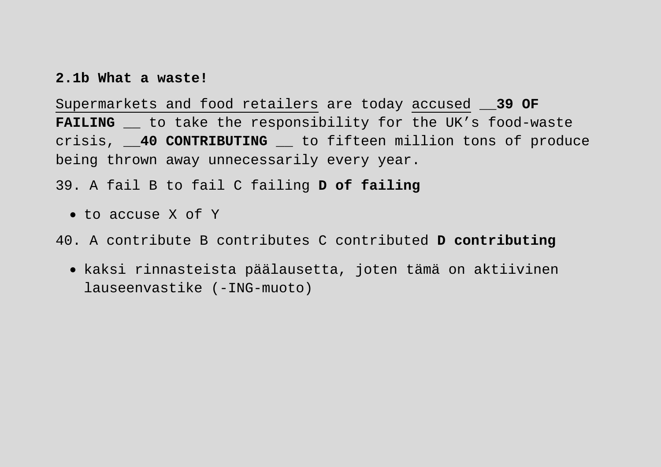## **2.1b What a waste!**

Supermarkets and food retailers are today accused \_\_**39 OF FAILING** to take the responsibility for the UK's food-waste crisis, \_\_**40 CONTRIBUTING** \_\_ to fifteen million tons of produce being thrown away unnecessarily every year.

39. A fail B to fail C failing **D of failing**

• to accuse X of Y

40. A contribute B contributes C contributed **D contributing** 

• kaksi rinnasteista päälausetta, joten tämä on aktiivinen lauseenvastike (-ING-muoto)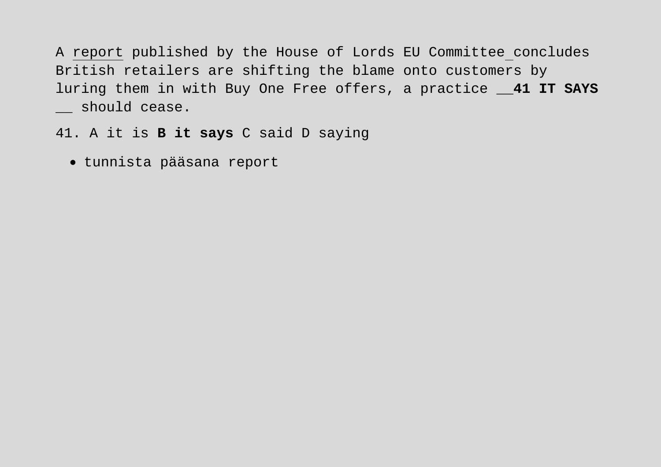A report published by the House of Lords EU Committee concludes British retailers are shifting the blame onto customers by luring them in with Buy One Free offers, a practice \_\_**41 IT SAYS** \_\_ should cease.

41. A it is **B it says** C said D saying

• tunnista pääsana report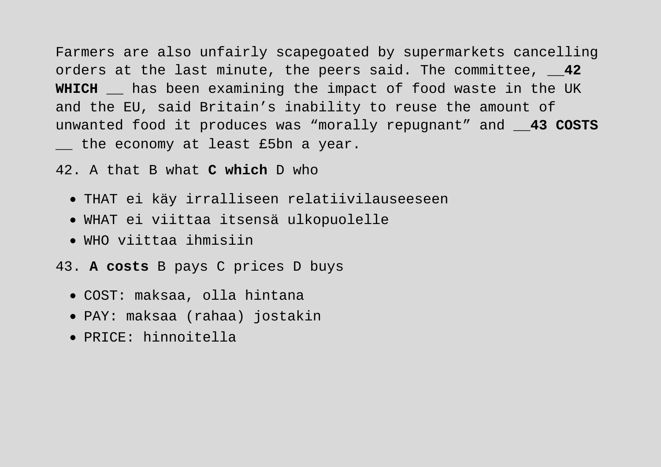Farmers are also unfairly scapegoated by supermarkets cancelling orders at the last minute, the peers said. The committee, \_\_**42 WHICH** has been examining the impact of food waste in the UK and the EU, said Britain's inability to reuse the amount of unwanted food it produces was "morally repugnant" and \_\_**43 COSTS** \_\_ the economy at least £5bn a year.

42. A that B what **C which** D who

- THAT ei käy irralliseen relatiivilauseeseen
- WHAT ei viittaa itsensä ulkopuolelle
- WHO viittaa ihmisiin
- 43. **A costs** B pays C prices D buys
	- COST: maksaa, olla hintana
	- PAY: maksaa (rahaa) jostakin
	- PRICE: hinnoitella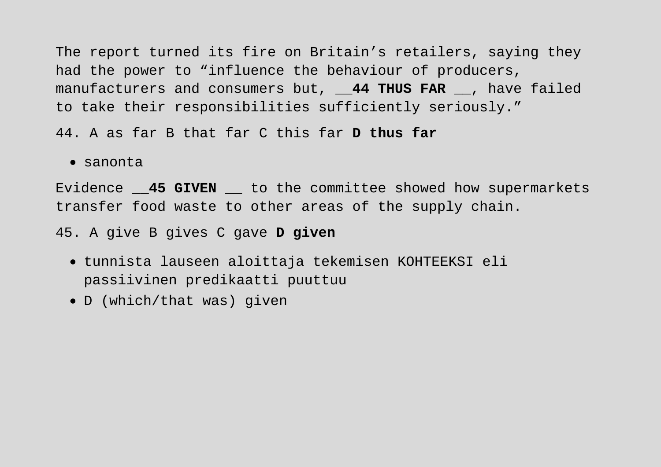The report turned its fire on Britain's retailers, saying they had the power to "influence the behaviour of producers, manufacturers and consumers but, \_\_**44 THUS FAR** \_\_, have failed to take their responsibilities sufficiently seriously."

44. A as far B that far C this far **D thus far**

• sanonta

Evidence \_\_**45 GIVEN** \_\_ to the committee showed how supermarkets transfer food waste to other areas of the supply chain.

45. A give B gives C gave **D given**

- tunnista lauseen aloittaja tekemisen KOHTEEKSI eli passiivinen predikaatti puuttuu
- D (which/that was) given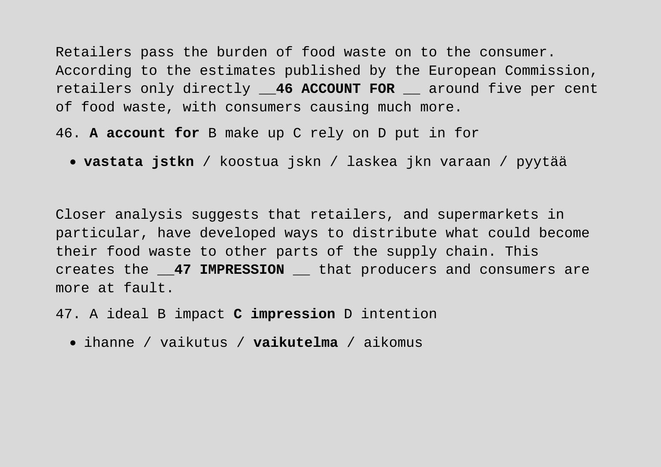Retailers pass the burden of food waste on to the consumer. According to the estimates published by the European Commission, retailers only directly \_\_**46 ACCOUNT FOR** \_\_ around five per cent of food waste, with consumers causing much more.

46. **A account for** B make up C rely on D put in for

• **vastata jstkn** / koostua jskn / laskea jkn varaan / pyytää

Closer analysis suggests that retailers, and supermarkets in particular, have developed ways to distribute what could become their food waste to other parts of the supply chain. This creates the \_\_**47 IMPRESSION** \_\_ that producers and consumers are more at fault.

47. A ideal B impact **C impression** D intention

• ihanne / vaikutus / **vaikutelma** / aikomus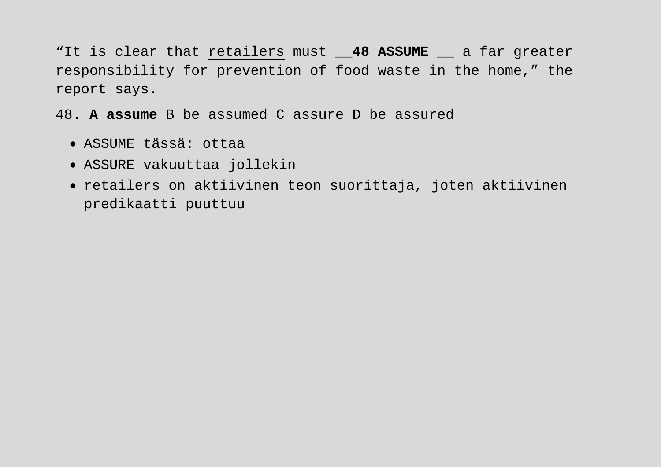"It is clear that retailers must \_\_**48 ASSUME** \_\_ a far greater responsibility for prevention of food waste in the home," the report says.

48. **A assume** B be assumed C assure D be assured

- ASSUME tässä: ottaa
- ASSURE vakuuttaa jollekin
- retailers on aktiivinen teon suorittaja, joten aktiivinen predikaatti puuttuu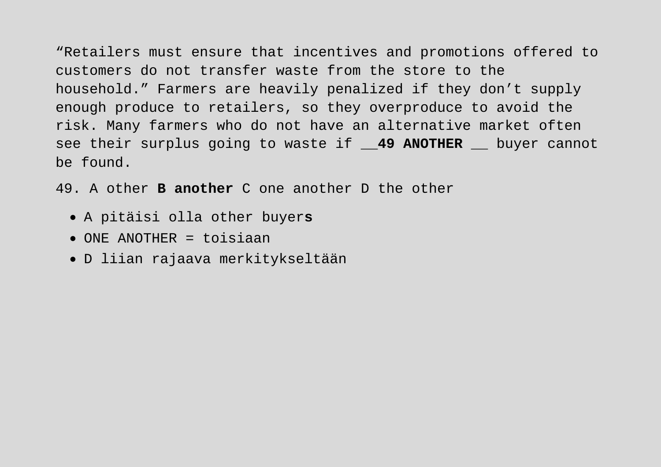"Retailers must ensure that incentives and promotions offered to customers do not transfer waste from the store to the household." Farmers are heavily penalized if they don't supply enough produce to retailers, so they overproduce to avoid the risk. Many farmers who do not have an alternative market often see their surplus going to waste if \_\_**49 ANOTHER** \_\_ buyer cannot be found.

49. A other **B another** C one another D the other

- A pitäisi olla other buyer**s**
- ONE ANOTHER = toisiaan
- D liian rajaava merkitykseltään